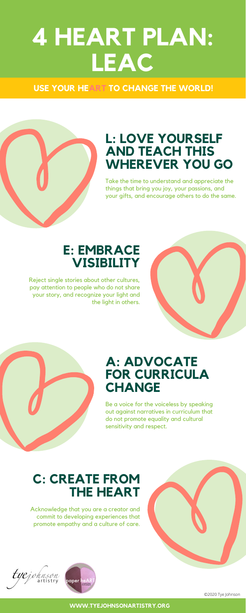# **4 HEART PLAN: LEAC**

# **C: CREATE FROM THE HEART**

Acknowledge that you are a creator and commit to developing experiences that promote empathy and a culture of care.







# **L: LOVE YOURSELF AND TEACH THIS WHEREVER YOU GO**

Take the time to understand and appreciate the things that bring you joy, your passions, and your gifts, and encourage others to do the same.





# **FOR CURRICULA CHANGE**

Be a voice for the voiceless by speaking out against narratives in curriculum that do not promote equality and cultural sensitivity and respect.

# **E: EMBRACE VISIBILITY**

Reject single stories about other cultures, pay attention to people who do not share your story, and recognize your light and the light in others.



**WWW.TYEJOHNSONARTISTRY.ORG**

# **USE YOUR HEART TO CHANGE THE WORLD!**

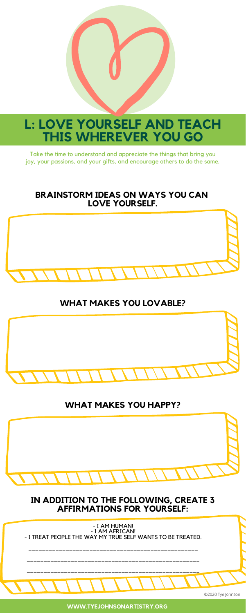

# **L: LOVE YOURSELF AND TEACH THIS WHEREVER YOU GO**

Take the time to understand and appreciate the things that bring you joy, your passions, and your gifts, and encourage others to do the same.

### **BRAINSTORM IDEAS ON WAYS YOU CAN LOVE YOURSELF.**



# **WHAT MAKES YOU LOVABLE?**



### **WHAT MAKES YOU HAPPY?**



### **IN ADDITION TO THE FOLLOWING, CREATE 3 AFFIRMATIONS FOR YOURSELF:**

**WWW.TYEJOHNSONARTISTRY.ORG**

- I AM HUMAN! - I AM AFRICAN! - I TREAT PEOPLE THE WAY MY TRUE SELF WANTS TO BE TREATED.

\_\_\_\_\_\_\_\_\_\_\_\_\_\_\_\_\_\_\_\_\_\_\_\_\_\_\_\_\_\_\_\_\_\_\_\_\_\_\_\_\_\_\_\_\_\_\_\_\_\_

\_\_\_\_\_\_\_\_\_\_\_\_\_\_\_\_\_\_\_\_\_\_\_\_\_\_\_\_\_\_\_\_\_\_\_\_\_\_\_\_\_\_\_\_\_\_\_\_\_\_\_

\_\_\_\_\_\_\_\_\_\_\_\_\_\_\_\_\_\_\_\_\_\_\_\_\_\_\_\_\_\_\_\_\_\_\_\_\_\_\_\_\_\_\_\_\_\_\_\_\_\_\_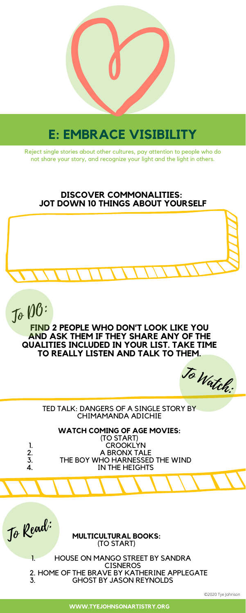

# **E: EMBRACE VISIBILITY**

Reject single stories about other cultures, pay attention to people who do not share your story, and recognize your light and the light in others.

**FIND 2 PEOPLE WHO DON'T LOOK LIKE YOU AND ASK THEM IF THEY SHARE ANY OF THE QUALITIES INCLUDED IN YOUR LIST. TAKE TIME TO REALLY LISTEN AND TALK TO THEM.**

#### TED TALK: DANGERS OF A SINGLE STORY BY CHIMAMANDA ADICHIE

### **DISCOVER COMMONALITIES: JOT DOWN 10 THINGS ABOUT YOURSELF**



**WWW.TYEJOHNSONARTISTRY.ORG**

To DO:

To Watch:

To Read:

|              | (TO START)                     |
|--------------|--------------------------------|
|              | <b>CROOKLYN</b>                |
| 2.           | A BRONX TALE                   |
| $\mathbf{3}$ | THE BOY WHO HARNESSED THE WIND |
| 4.           | IN THE HEIGHTS                 |
|              |                                |

#### **WATCH COMING OF AGE MOVIES:**

#### HOUSE ON MANGO STREET BY SANDRA **CISNEROS** 2. HOME OF THE BRAVE BY KATHERINE APPLEGATE GHOST BY JASON REYNOLDS 1. 3.

#### **MULTICULTURAL BOOKS:** (TO START)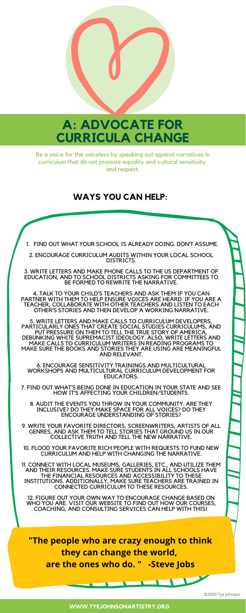

# **A: ADVOCATE FOR CURRICULA CHANGE**

Be a voice for the voiceless by speaking out against narratives in curriculum that do not promote equality and cultural sensitivity and respect.

1. FIND OUT WHAT YOUR SCHOOL IS ALREADY DOING. DON'T ASSUME.

2. ENCOURAGE CURRICULUM AUDITS WITHIN YOUR LOCAL SCHOOL DISTRICTS.

3. WRITE LETTERS AND MAKE PHONE CALLS TO THE US DEPARTMENT OF EDUCATION, AND TO SCHOOL DISTRICTS ASKING FOR COMMITTEES TO BE FORMED TO REWRITE THE NARRATIVE.

4. TALK TO YOUR CHILD'S TEACHERS AND ASK THEM IF YOU CAN PARTNER WITH THEM TO HELP ENSURE VOICES ARE HEARD. IF YOU ARE A TEACHER, COLLABORATE WITH OTHER TEACHERS AND LISTEN TO EACH OTHER'S STORIES AND THEN DEVELOP A WORKING NARRATIVE.

5. WRITE LETTERS AND MAKE CALLS TO CURRICULUM DEVELOPERS, PARTICULARLY ONES THAT CREATE SOCIAL STUDIES CURRICULUMS, AND PUT PRESSURE ON THEM TO TELL THE TRUE STORY OF AMERICA, DEBUNKING WHITE SUPREMACIST IDEOLOGY. ALSO, WRITE LETTERS AND MAKE CALLS TO CURRICULUM WRITERS IN READING PROGRAMS TO MAKE SURE THE BOOKS AND STORIES THEY ARE USING ARE MEANINGFUL AND RELEVANT.

6. ENCOURAGE SENSITIVITY TRAININGS AND MULTICULTURAL

WORKSHOPS AND MULTICULTURAL CURRICULUM DEVELOPMENT FOR EDUCATORS.

7. FIND OUT WHAT'S BEING DONE IN EDUCATION IN YOUR STATE AND SEE HOW IT'S AFFECTING YOUR CHILDREN/STUDENTS.

8. AUDIT THE EVENTS YOU THROW IN YOUR COMMUNITY. ARE THEY INCLUSIVE? DO THEY MAKE SPACE FOR ALL VOICES? DO THEY ENCOURAGE UNDERSTANDING OF STORIES?

9. WRITE YOUR FAVORITE DIRECTORS, SCREENWRITERS, ARTISTS OF ALL GENRES, AND ASK THEM TO TELL STORIES THAT GROUND US IN OUR COLLECTIVE TRUTH AND TELL THE NEW NARRATIVE.

10. FLOOD YOUR FAVORITE RICH PEOPLE WITH REQUESTS TO FUND NEW CURRICULUM AND HELP WITH CHANGING THE NARRATIVE.

11. CONNECT WITH LOCAL MUSEUMS, GALLERIES, ETC., AND UTILIZE THEM AND THEIR RESOURCES. MAKE SURE STUDENTS IN ALL SCHOOLS HAVE THE FINANCIAL RESOURCES AND ACCESSIBILITY TO THESE INSTITUTIONS. ADDITIONALLY, MAKE SURE TEACHERS ARE TRAINED IN CONNECTED CURRICULUM TO THESE RESOURCES.

12. FIGURE OUT YOUR OWN WAY TO ENCOURAGE CHANGE BASED ON WHO YOU ARE. VISIT OUR WEBSITE TO FIND OUT HOW OUR COURSES, COACHING, AND CONSULTING SERVICES CAN HELP WITH THIS!

**"The people who are crazy enough to think they can change the world, are the ones who do. " -Steve Jobs**

# **WAYS YOU CAN HELP:**

**WWW.TYEJOHNSONARTISTRY.ORG**